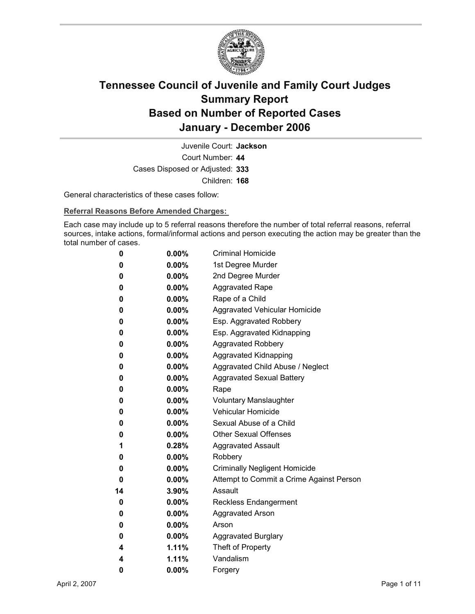

Court Number: **44** Juvenile Court: **Jackson** Cases Disposed or Adjusted: **333** Children: **168**

General characteristics of these cases follow:

**Referral Reasons Before Amended Charges:** 

Each case may include up to 5 referral reasons therefore the number of total referral reasons, referral sources, intake actions, formal/informal actions and person executing the action may be greater than the total number of cases.

| 0  | $0.00\%$ | <b>Criminal Homicide</b>                 |
|----|----------|------------------------------------------|
| 0  | $0.00\%$ | 1st Degree Murder                        |
| 0  | $0.00\%$ | 2nd Degree Murder                        |
| 0  | $0.00\%$ | <b>Aggravated Rape</b>                   |
| 0  | $0.00\%$ | Rape of a Child                          |
| 0  | $0.00\%$ | Aggravated Vehicular Homicide            |
| 0  | $0.00\%$ | Esp. Aggravated Robbery                  |
| 0  | $0.00\%$ | Esp. Aggravated Kidnapping               |
| 0  | $0.00\%$ | <b>Aggravated Robbery</b>                |
| 0  | $0.00\%$ | Aggravated Kidnapping                    |
| 0  | $0.00\%$ | Aggravated Child Abuse / Neglect         |
| 0  | $0.00\%$ | <b>Aggravated Sexual Battery</b>         |
| 0  | $0.00\%$ | Rape                                     |
| 0  | $0.00\%$ | <b>Voluntary Manslaughter</b>            |
| 0  | $0.00\%$ | <b>Vehicular Homicide</b>                |
| 0  | $0.00\%$ | Sexual Abuse of a Child                  |
| 0  | $0.00\%$ | <b>Other Sexual Offenses</b>             |
| 1  | $0.28\%$ | <b>Aggravated Assault</b>                |
| 0  | $0.00\%$ | Robbery                                  |
| 0  | $0.00\%$ | <b>Criminally Negligent Homicide</b>     |
| 0  | $0.00\%$ | Attempt to Commit a Crime Against Person |
| 14 | 3.90%    | Assault                                  |
| 0  | $0.00\%$ | <b>Reckless Endangerment</b>             |
| 0  | $0.00\%$ | <b>Aggravated Arson</b>                  |
| 0  | $0.00\%$ | Arson                                    |
| 0  | $0.00\%$ | <b>Aggravated Burglary</b>               |
| 4  | $1.11\%$ | Theft of Property                        |
| 4  | 1.11%    | Vandalism                                |
| 0  | 0.00%    | Forgery                                  |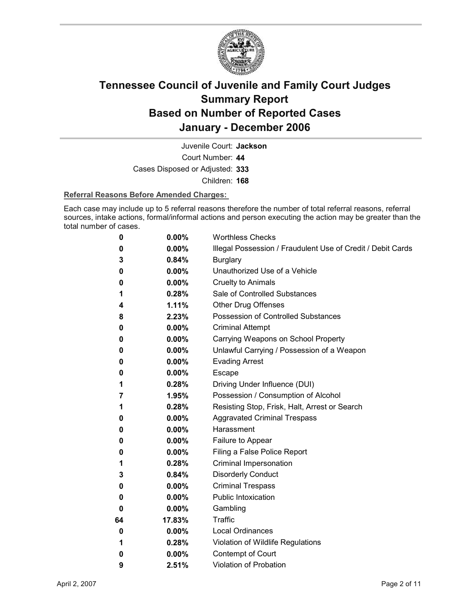

Juvenile Court: **Jackson**

Court Number: **44**

Cases Disposed or Adjusted: **333**

Children: **168**

#### **Referral Reasons Before Amended Charges:**

Each case may include up to 5 referral reasons therefore the number of total referral reasons, referral sources, intake actions, formal/informal actions and person executing the action may be greater than the total number of cases.

| 0  | 0.00%    | <b>Worthless Checks</b>                                     |
|----|----------|-------------------------------------------------------------|
| 0  | $0.00\%$ | Illegal Possession / Fraudulent Use of Credit / Debit Cards |
| 3  | 0.84%    | <b>Burglary</b>                                             |
| 0  | 0.00%    | Unauthorized Use of a Vehicle                               |
| 0  | $0.00\%$ | <b>Cruelty to Animals</b>                                   |
| 1  | 0.28%    | Sale of Controlled Substances                               |
| 4  | 1.11%    | <b>Other Drug Offenses</b>                                  |
| 8  | 2.23%    | Possession of Controlled Substances                         |
| 0  | $0.00\%$ | <b>Criminal Attempt</b>                                     |
| 0  | $0.00\%$ | Carrying Weapons on School Property                         |
| 0  | $0.00\%$ | Unlawful Carrying / Possession of a Weapon                  |
| 0  | $0.00\%$ | <b>Evading Arrest</b>                                       |
| 0  | $0.00\%$ | <b>Escape</b>                                               |
| 1  | 0.28%    | Driving Under Influence (DUI)                               |
| 7  | 1.95%    | Possession / Consumption of Alcohol                         |
| 1  | 0.28%    | Resisting Stop, Frisk, Halt, Arrest or Search               |
| 0  | $0.00\%$ | <b>Aggravated Criminal Trespass</b>                         |
| 0  | 0.00%    | Harassment                                                  |
| 0  | 0.00%    | Failure to Appear                                           |
| 0  | $0.00\%$ | Filing a False Police Report                                |
| 1  | 0.28%    | Criminal Impersonation                                      |
| 3  | 0.84%    | <b>Disorderly Conduct</b>                                   |
| 0  | $0.00\%$ | <b>Criminal Trespass</b>                                    |
| 0  | $0.00\%$ | <b>Public Intoxication</b>                                  |
| 0  | $0.00\%$ | Gambling                                                    |
| 64 | 17.83%   | Traffic                                                     |
| 0  | $0.00\%$ | <b>Local Ordinances</b>                                     |
| 1  | 0.28%    | Violation of Wildlife Regulations                           |
| 0  | $0.00\%$ | Contempt of Court                                           |
| 9  | 2.51%    | <b>Violation of Probation</b>                               |
|    |          |                                                             |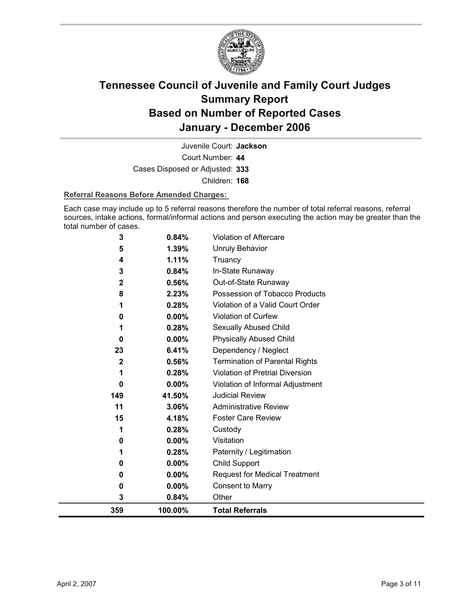

Court Number: **44** Juvenile Court: **Jackson** Cases Disposed or Adjusted: **333** Children: **168**

#### **Referral Reasons Before Amended Charges:**

Each case may include up to 5 referral reasons therefore the number of total referral reasons, referral sources, intake actions, formal/informal actions and person executing the action may be greater than the total number of cases.

| 359                     | 100.00%        | <b>Total Referrals</b>                |
|-------------------------|----------------|---------------------------------------|
| 3                       | 0.84%          | Other                                 |
| 0                       | 0.00%          | <b>Consent to Marry</b>               |
| 0                       | $0.00\%$       | <b>Request for Medical Treatment</b>  |
| 0                       | 0.00%          | Child Support                         |
| 1                       | 0.28%          | Paternity / Legitimation              |
| 0                       | 0.00%          | Visitation                            |
| 1                       | 0.28%          | Custody                               |
| 15                      | 4.18%          | <b>Foster Care Review</b>             |
| 11                      | 3.06%          | <b>Administrative Review</b>          |
| 149                     | 41.50%         | <b>Judicial Review</b>                |
| 0                       | 0.00%          | Violation of Informal Adjustment      |
| 1                       | 0.28%          | Violation of Pretrial Diversion       |
| $\overline{\mathbf{2}}$ | 0.56%          | <b>Termination of Parental Rights</b> |
| 23                      | 6.41%          | Dependency / Neglect                  |
| 0                       | 0.00%          | <b>Physically Abused Child</b>        |
| 1                       | 0.28%          | Sexually Abused Child                 |
| 0                       | 0.00%          | Violation of Curfew                   |
| 1                       | 0.28%          | Violation of a Valid Court Order      |
| 8                       | 2.23%          | Possession of Tobacco Products        |
| 2                       | 0.56%          | Out-of-State Runaway                  |
| 3                       | 0.84%          | In-State Runaway                      |
| 5<br>4                  | 1.39%<br>1.11% | <b>Unruly Behavior</b><br>Truancy     |
|                         |                |                                       |
| 3                       | 0.84%          | Violation of Aftercare                |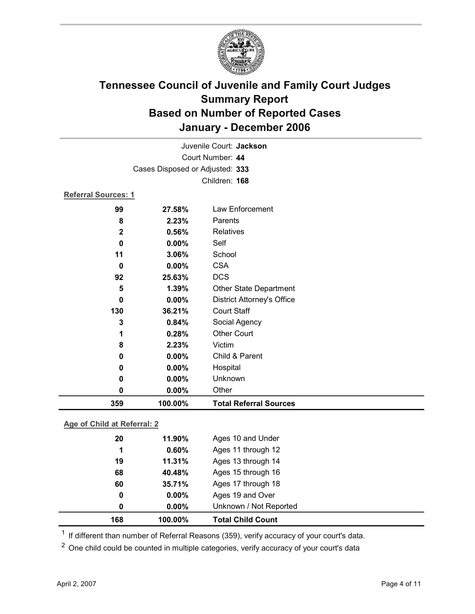

|                            |                                 | Juvenile Court: Jackson           |
|----------------------------|---------------------------------|-----------------------------------|
|                            |                                 | Court Number: 44                  |
|                            | Cases Disposed or Adjusted: 333 |                                   |
|                            |                                 | Children: 168                     |
| <b>Referral Sources: 1</b> |                                 |                                   |
| 99                         | 27.58%                          | Law Enforcement                   |
| 8                          | 2.23%                           | Parents                           |
| $\mathbf{2}$               | 0.56%                           | Relatives                         |
| $\bf{0}$                   | $0.00\%$                        | Self                              |
| 11                         | 3.06%                           | School                            |
| $\bf{0}$                   | 0.00%                           | <b>CSA</b>                        |
| 92                         | 25.63%                          | <b>DCS</b>                        |
| 5                          | 1.39%                           | <b>Other State Department</b>     |
| 0                          | 0.00%                           | <b>District Attorney's Office</b> |
| 130                        | 36.21%                          | <b>Court Staff</b>                |
| 3                          | 0.84%                           | Social Agency                     |
| 1                          | 0.28%                           | <b>Other Court</b>                |
| 8                          | 2.23%                           | Victim                            |
| 0                          | 0.00%                           | Child & Parent                    |
| 0                          | 0.00%                           | Hospital                          |
| 0                          | 0.00%                           | Unknown                           |
| 0                          | $0.00\%$                        | Other                             |
| 359                        | 100.00%                         | <b>Total Referral Sources</b>     |

### **Age of Child at Referral: 2**

| 168 | 100.00%  | <b>Total Child Count</b> |  |
|-----|----------|--------------------------|--|
| 0   | $0.00\%$ | Unknown / Not Reported   |  |
| 0   | $0.00\%$ | Ages 19 and Over         |  |
| 60  | 35.71%   | Ages 17 through 18       |  |
| 68  | 40.48%   | Ages 15 through 16       |  |
| 19  | 11.31%   | Ages 13 through 14       |  |
| 1   | 0.60%    | Ages 11 through 12       |  |
| 20  | 11.90%   | Ages 10 and Under        |  |
|     |          |                          |  |

<sup>1</sup> If different than number of Referral Reasons (359), verify accuracy of your court's data.

<sup>2</sup> One child could be counted in multiple categories, verify accuracy of your court's data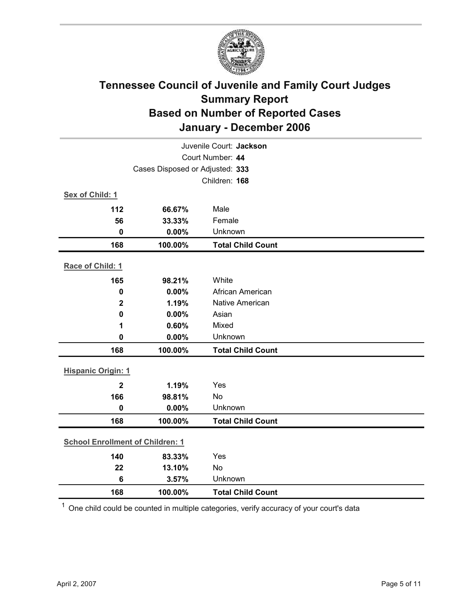

|                                         | Juvenile Court: Jackson         |                          |  |  |  |
|-----------------------------------------|---------------------------------|--------------------------|--|--|--|
|                                         |                                 | Court Number: 44         |  |  |  |
|                                         | Cases Disposed or Adjusted: 333 |                          |  |  |  |
|                                         |                                 | Children: 168            |  |  |  |
| Sex of Child: 1                         |                                 |                          |  |  |  |
| 112                                     | 66.67%                          | Male                     |  |  |  |
| 56                                      | 33.33%                          | Female                   |  |  |  |
| $\mathbf 0$                             | 0.00%                           | Unknown                  |  |  |  |
| 168                                     | 100.00%                         | <b>Total Child Count</b> |  |  |  |
| Race of Child: 1                        |                                 |                          |  |  |  |
| 165                                     | 98.21%                          | White                    |  |  |  |
| $\mathbf 0$                             | 0.00%                           | African American         |  |  |  |
| $\mathbf{2}$                            | 1.19%                           | Native American          |  |  |  |
| 0                                       | 0.00%                           | Asian                    |  |  |  |
| 1                                       | 0.60%                           | Mixed                    |  |  |  |
| $\mathbf 0$                             | 0.00%                           | Unknown                  |  |  |  |
| 168                                     | 100.00%                         | <b>Total Child Count</b> |  |  |  |
| <b>Hispanic Origin: 1</b>               |                                 |                          |  |  |  |
| $\overline{\mathbf{2}}$                 | 1.19%                           | Yes                      |  |  |  |
| 166                                     | 98.81%                          | No                       |  |  |  |
| $\mathbf{0}$                            | 0.00%                           | Unknown                  |  |  |  |
| 168                                     | 100.00%                         | <b>Total Child Count</b> |  |  |  |
| <b>School Enrollment of Children: 1</b> |                                 |                          |  |  |  |
| 140                                     | 83.33%                          | Yes                      |  |  |  |
| 22                                      | 13.10%                          | No                       |  |  |  |
| $6\phantom{1}6$                         | 3.57%                           | Unknown                  |  |  |  |
| 168                                     | 100.00%                         | <b>Total Child Count</b> |  |  |  |

 $1$  One child could be counted in multiple categories, verify accuracy of your court's data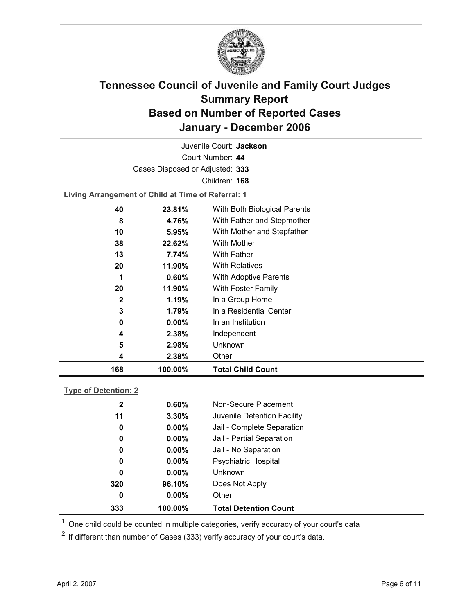

Court Number: **44** Juvenile Court: **Jackson** Cases Disposed or Adjusted: **333** Children: **168 Living Arrangement of Child at Time of Referral: 1 40 23.81%** With Both Biological Parents **8 4.76%** With Father and Stepmother **10 5.95%** With Mother and Stepfather **38 22.62%** With Mother **13 7.74%** With Father

| 168          | 100.00%  | <b>Total Child Count</b>     |
|--------------|----------|------------------------------|
| 4            | 2.38%    | Other                        |
| 5            | 2.98%    | <b>Unknown</b>               |
| 4            | 2.38%    | Independent                  |
| 0            | $0.00\%$ | In an Institution            |
| 3            | 1.79%    | In a Residential Center      |
| $\mathbf{2}$ | 1.19%    | In a Group Home              |
| 20           | 11.90%   | With Foster Family           |
| 1            | 0.60%    | <b>With Adoptive Parents</b> |
| 20           | 11.90%   | <b>With Relatives</b>        |
| 13           | 7.74%    | With Father                  |

### **Type of Detention: 2**

| 333          | 100.00%  | <b>Total Detention Count</b> |  |
|--------------|----------|------------------------------|--|
| 0            | $0.00\%$ | Other                        |  |
| 320          | 96.10%   | Does Not Apply               |  |
| 0            | $0.00\%$ | <b>Unknown</b>               |  |
| 0            | $0.00\%$ | <b>Psychiatric Hospital</b>  |  |
| 0            | $0.00\%$ | Jail - No Separation         |  |
| $\mathbf 0$  | $0.00\%$ | Jail - Partial Separation    |  |
| 0            | $0.00\%$ | Jail - Complete Separation   |  |
| 11           | 3.30%    | Juvenile Detention Facility  |  |
| $\mathbf{2}$ | 0.60%    | Non-Secure Placement         |  |
|              |          |                              |  |

 $<sup>1</sup>$  One child could be counted in multiple categories, verify accuracy of your court's data</sup>

 $2$  If different than number of Cases (333) verify accuracy of your court's data.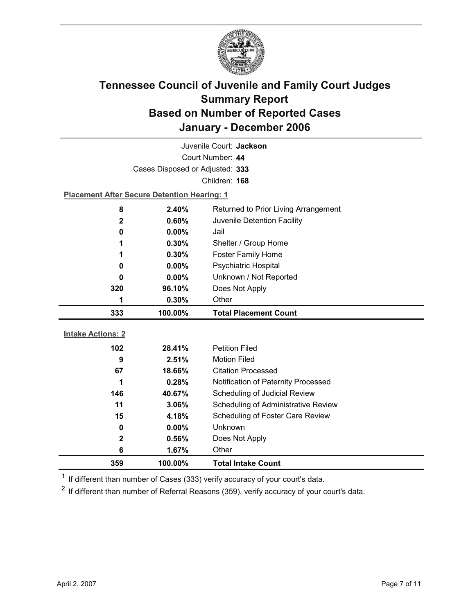

| Juvenile Court: Jackson  |                                                    |                                            |  |
|--------------------------|----------------------------------------------------|--------------------------------------------|--|
|                          | Court Number: 44                                   |                                            |  |
|                          | Cases Disposed or Adjusted: 333                    |                                            |  |
|                          |                                                    | Children: 168                              |  |
|                          | <b>Placement After Secure Detention Hearing: 1</b> |                                            |  |
| 8                        | 2.40%                                              | Returned to Prior Living Arrangement       |  |
| $\mathbf 2$              | 0.60%                                              | Juvenile Detention Facility                |  |
| 0                        | $0.00\%$                                           | Jail                                       |  |
| 1                        | 0.30%                                              | Shelter / Group Home                       |  |
| 1                        | $0.30\%$                                           | <b>Foster Family Home</b>                  |  |
| 0                        | 0.00%                                              | Psychiatric Hospital                       |  |
| 0                        | 0.00%                                              | Unknown / Not Reported                     |  |
| 320                      | 96.10%                                             | Does Not Apply                             |  |
| 1                        | 0.30%                                              | Other                                      |  |
| 333                      | 100.00%                                            | <b>Total Placement Count</b>               |  |
|                          |                                                    |                                            |  |
|                          |                                                    |                                            |  |
| <b>Intake Actions: 2</b> |                                                    |                                            |  |
| 102                      | 28.41%                                             | <b>Petition Filed</b>                      |  |
| 9                        | 2.51%                                              | <b>Motion Filed</b>                        |  |
| 67                       | 18.66%                                             | <b>Citation Processed</b>                  |  |
| 1                        | 0.28%                                              | Notification of Paternity Processed        |  |
| 146                      | 40.67%                                             | Scheduling of Judicial Review              |  |
| 11                       | 3.06%                                              | <b>Scheduling of Administrative Review</b> |  |
| 15                       | 4.18%                                              | Scheduling of Foster Care Review           |  |
| $\bf{0}$                 | 0.00%                                              | Unknown                                    |  |
| $\mathbf 2$              | 0.56%                                              | Does Not Apply                             |  |
| 6<br>359                 | 1.67%<br>100.00%                                   | Other<br><b>Total Intake Count</b>         |  |

 $1$  If different than number of Cases (333) verify accuracy of your court's data.

 $2$  If different than number of Referral Reasons (359), verify accuracy of your court's data.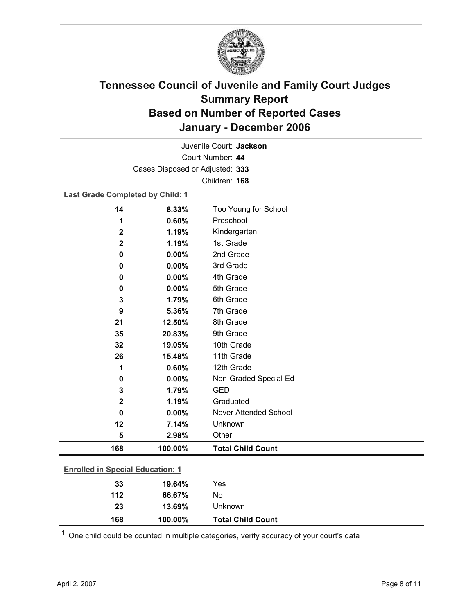

Court Number: **44** Juvenile Court: **Jackson** Cases Disposed or Adjusted: **333** Children: **168**

### **Last Grade Completed by Child: 1**

| 14                                      | 8.33%   | Too Young for School         |
|-----------------------------------------|---------|------------------------------|
| 1                                       | 0.60%   | Preschool                    |
| $\mathbf 2$                             | 1.19%   | Kindergarten                 |
| $\mathbf 2$                             | 1.19%   | 1st Grade                    |
| 0                                       | 0.00%   | 2nd Grade                    |
| 0                                       | 0.00%   | 3rd Grade                    |
| 0                                       | 0.00%   | 4th Grade                    |
| 0                                       | 0.00%   | 5th Grade                    |
| 3                                       | 1.79%   | 6th Grade                    |
| 9                                       | 5.36%   | 7th Grade                    |
| 21                                      | 12.50%  | 8th Grade                    |
| 35                                      | 20.83%  | 9th Grade                    |
| 32                                      | 19.05%  | 10th Grade                   |
| 26                                      | 15.48%  | 11th Grade                   |
| 1                                       | 0.60%   | 12th Grade                   |
| 0                                       | 0.00%   | Non-Graded Special Ed        |
| 3                                       | 1.79%   | <b>GED</b>                   |
| $\mathbf 2$                             | 1.19%   | Graduated                    |
| 0                                       | 0.00%   | <b>Never Attended School</b> |
| 12                                      | 7.14%   | Unknown                      |
| 5                                       | 2.98%   | Other                        |
| 168                                     | 100.00% | <b>Total Child Count</b>     |
| <b>Enrolled in Special Education: 1</b> |         |                              |
| 33                                      | 19.64%  | Yes                          |
| 112                                     | 66.67%  | No                           |
|                                         |         |                              |

 $1$  One child could be counted in multiple categories, verify accuracy of your court's data

**23 13.69%** Unknown

**168 100.00% Total Child Count**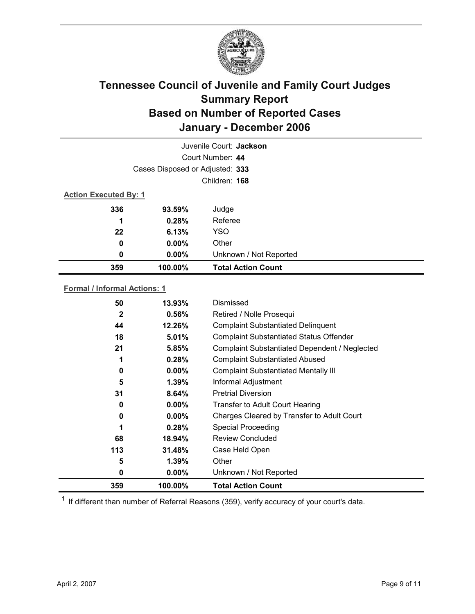

|                              |                                 | Juvenile Court: Jackson   |
|------------------------------|---------------------------------|---------------------------|
|                              |                                 | Court Number: 44          |
|                              | Cases Disposed or Adjusted: 333 |                           |
|                              |                                 | Children: 168             |
| <b>Action Executed By: 1</b> |                                 |                           |
| 336                          | 93.59%                          | Judge                     |
| 1                            | 0.28%                           | Referee                   |
| 22                           | 6.13%                           | <b>YSO</b>                |
| 0                            | $0.00\%$                        | Other                     |
| 0                            | $0.00\%$                        | Unknown / Not Reported    |
| 359                          | 100.00%                         | <b>Total Action Count</b> |

#### **Formal / Informal Actions: 1**

| <b>Special Proceeding</b><br><b>Review Concluded</b><br>Case Held Open<br>Other<br>Unknown / Not Reported |
|-----------------------------------------------------------------------------------------------------------|
|                                                                                                           |
|                                                                                                           |
|                                                                                                           |
|                                                                                                           |
|                                                                                                           |
| Charges Cleared by Transfer to Adult Court                                                                |
| <b>Transfer to Adult Court Hearing</b>                                                                    |
| <b>Pretrial Diversion</b>                                                                                 |
| Informal Adjustment                                                                                       |
| <b>Complaint Substantiated Mentally III</b>                                                               |
| <b>Complaint Substantiated Abused</b>                                                                     |
| Complaint Substantiated Dependent / Neglected                                                             |
| <b>Complaint Substantiated Status Offender</b>                                                            |
| <b>Complaint Substantiated Delinquent</b>                                                                 |
| Retired / Nolle Prosequi                                                                                  |
| Dismissed                                                                                                 |
|                                                                                                           |

 $1$  If different than number of Referral Reasons (359), verify accuracy of your court's data.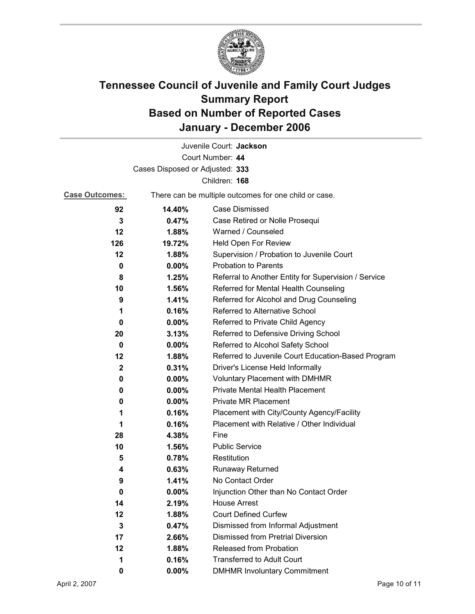

|                                 |                                                       | Juvenile Court: Jackson                              |  |
|---------------------------------|-------------------------------------------------------|------------------------------------------------------|--|
|                                 |                                                       | Court Number: 44                                     |  |
| Cases Disposed or Adjusted: 333 |                                                       |                                                      |  |
| Children: 168                   |                                                       |                                                      |  |
| <b>Case Outcomes:</b>           | There can be multiple outcomes for one child or case. |                                                      |  |
| 92                              | 14.40%                                                | Case Dismissed                                       |  |
| 3                               | 0.47%                                                 | Case Retired or Nolle Prosequi                       |  |
| 12                              | 1.88%                                                 | Warned / Counseled                                   |  |
| 126                             | 19.72%                                                | Held Open For Review                                 |  |
| 12                              | 1.88%                                                 | Supervision / Probation to Juvenile Court            |  |
| 0                               | 0.00%                                                 | <b>Probation to Parents</b>                          |  |
| 8                               | 1.25%                                                 | Referral to Another Entity for Supervision / Service |  |
| 10                              | 1.56%                                                 | Referred for Mental Health Counseling                |  |
| 9                               | 1.41%                                                 | Referred for Alcohol and Drug Counseling             |  |
| 1                               | 0.16%                                                 | Referred to Alternative School                       |  |
| 0                               | $0.00\%$                                              | Referred to Private Child Agency                     |  |
| 20                              | 3.13%                                                 | Referred to Defensive Driving School                 |  |
| 0                               | $0.00\%$                                              | Referred to Alcohol Safety School                    |  |
| 12                              | 1.88%                                                 | Referred to Juvenile Court Education-Based Program   |  |
| $\mathbf 2$                     | 0.31%                                                 | Driver's License Held Informally                     |  |
| 0                               | $0.00\%$                                              | <b>Voluntary Placement with DMHMR</b>                |  |
| 0                               | $0.00\%$                                              | <b>Private Mental Health Placement</b>               |  |
| 0                               | $0.00\%$                                              | <b>Private MR Placement</b>                          |  |
| 1                               | 0.16%                                                 | Placement with City/County Agency/Facility           |  |
| 1                               | 0.16%                                                 | Placement with Relative / Other Individual           |  |
| 28                              | 4.38%                                                 | Fine                                                 |  |
| 10                              | 1.56%                                                 | <b>Public Service</b>                                |  |
| 5                               | 0.78%                                                 | Restitution                                          |  |
| 4                               | 0.63%                                                 | <b>Runaway Returned</b>                              |  |
| 9                               | 1.41%                                                 | No Contact Order                                     |  |
| 0                               | 0.00%                                                 | Injunction Other than No Contact Order               |  |
| 14                              | 2.19%                                                 | <b>House Arrest</b>                                  |  |
| 12                              | 1.88%                                                 | <b>Court Defined Curfew</b>                          |  |
| 3                               | 0.47%                                                 | Dismissed from Informal Adjustment                   |  |
| 17                              | 2.66%                                                 | <b>Dismissed from Pretrial Diversion</b>             |  |
| 12                              | 1.88%                                                 | Released from Probation                              |  |
| 1                               | 0.16%                                                 | <b>Transferred to Adult Court</b>                    |  |
| 0                               | $0.00\%$                                              | <b>DMHMR Involuntary Commitment</b>                  |  |